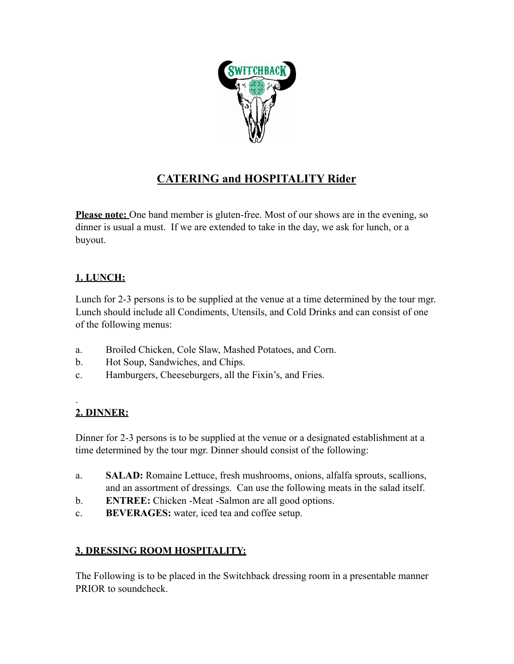

# **CATERING and HOSPITALITY Rider**

**Please note:** One band member is gluten-free. Most of our shows are in the evening, so dinner is usual a must. If we are extended to take in the day, we ask for lunch, or a buyout.

## **1. LUNCH:**

Lunch for 2-3 persons is to be supplied at the venue at a time determined by the tour mgr. Lunch should include all Condiments, Utensils, and Cold Drinks and can consist of one of the following menus:

- a. Broiled Chicken, Cole Slaw, Mashed Potatoes, and Corn.
- b. Hot Soup, Sandwiches, and Chips.
- c. Hamburgers, Cheeseburgers, all the Fixin's, and Fries.

#### . **2. DINNER:**

Dinner for 2-3 persons is to be supplied at the venue or a designated establishment at a time determined by the tour mgr. Dinner should consist of the following:

- a. **SALAD:** Romaine Lettuce, fresh mushrooms, onions, alfalfa sprouts, scallions, and an assortment of dressings. Can use the following meats in the salad itself.
- b. **ENTREE:** Chicken -Meat -Salmon are all good options.
- c. **BEVERAGES:** water, iced tea and coffee setup.

## **3. DRESSING ROOM HOSPITALITY:**

The Following is to be placed in the Switchback dressing room in a presentable manner PRIOR to soundcheck.